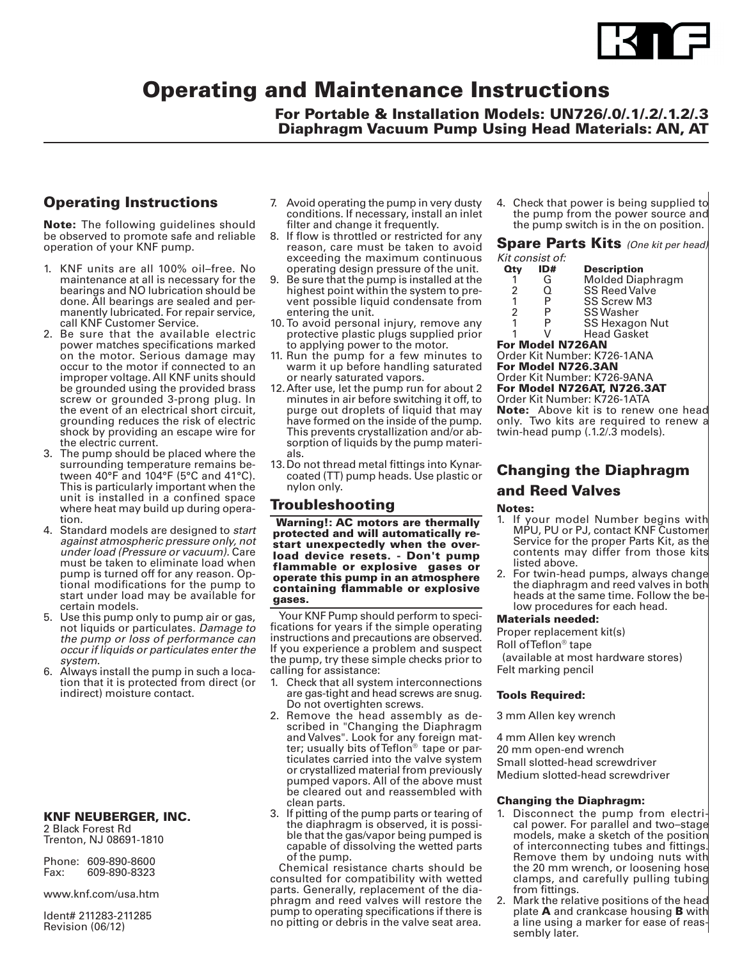

# Operating and Maintenance Instructions

## For Portable & Installation Models: UN726/.0/.1/.2/.1.2/.3 Diaphragm Vacuum Pump Using Head Materials: AN, AT

## Operating Instructions

Note: The following guidelines should be observed to promote safe and reliable operation of your KNF pump.

- 1. KNF units are all 100% oil–free. No maintenance at all is necessary for the bearings and NO lubrication should be done. All bearings are sealed and permanently lubricated. For repair service, call KNF Customer Service.
- 2. Be sure that the available electric power matches specifications marked on the motor. Serious damage may occur to the motor if connected to an improper voltage. All KNF units should be grounded using the provided brass screw or grounded 3-prong plug. In the event of an electrical short circuit, grounding reduces the risk of electric shock by providing an escape wire for the electric current.
- 3. The pump should be placed where the surrounding temperature remains between 40°F and 104°F (5°C and 41°C). This is particularly important when the unit is installed in a confined space where heat may build up during operation.
- 4. Standard models are designed to *start against atmospheric pressure only, not under load (Pressure or vacuum).* Care must be taken to eliminate load when pump is turned off for any reason. Optional modifications for the pump to start under load may be available for certain models.
- 5. Use this pump only to pump air or gas, not liquids or particulates. *Damage to the pump or loss of performance can occur if liquids or particulates enter the system.*
- 6. Always install the pump in such a location that it is protected from direct (or indirect) moisture contact.

### KNF NEUBERGER, INC.

2 Black Forest Rd Trenton, NJ 08691-1810

|      | Phone: 609-890-8600 |
|------|---------------------|
| Fax: | 609-890-8323        |

www.knf.com/usa.htm

Ident# 211283-211285 Revision (06/12)

- 7. Avoid operating the pump in very dusty conditions. If necessary, install an inlet filter and change it frequently.
- 8. If flow is throttled or restricted for any reason, care must be taken to avoid exceeding the maximum continuous operating design pressure of the unit.
- 9. Be sure that the pump is installed at the highest point within the system to prevent possible liquid condensate from entering the unit.
- 10. To avoid personal injury, remove any protective plastic plugs supplied prior to applying power to the motor.
- 11. Run the pump for a few minutes to warm it up before handling saturated or nearly saturated vapors.
- 12.After use, let the pump run for about 2 minutes in air before switching it off, to purge out droplets of liquid that may have formed on the inside of the pump. This prevents crystallization and/or absorption of liquids by the pump materials.
- 13.Do not thread metal fittings into Kynarcoated (TT) pump heads. Use plastic or nylon only.

## Troubleshooting

 Warning!: AC motors are thermally protected and will automatically restart unexpectedly when the overload device resets. - Don't pump flammable or explosive gases or operate this pump in an atmosphere containing flammable or explosive gases.

Your KNF Pump should perform to specifications for years if the simple operating instructions and precautions are observed. If you experience a problem and suspect the pump, try these simple checks prior to calling for assistance:

- 1. Check that all system interconnections are gas-tight and head screws are snug. Do not overtighten screws.
- 2. Remove the head assembly as described in "Changing the Diaphragm and Valves". Look for any foreign matter; usually bits of Teflon<sup>®</sup> tape or particulates carried into the valve system or crystallized material from previously pumped vapors. All of the above must be cleared out and reassembled with clean parts.
- 3. If pitting of the pump parts or tearing of the diaphragm is observed, it is possible that the gas/vapor being pumped is capable of dissolving the wetted parts of the pump.

Chemical resistance charts should be consulted for compatibility with wetted parts. Generally, replacement of the diaphragm and reed valves will restore the pump to operating specifications if there is no pitting or debris in the valve seat area.

4. Check that power is being supplied to the pump from the power source and the pump switch is in the on position.

Spare Parts Kits *(One kit per head) Kit consist of:*

| Qty            | ID# | <b>Description</b>      |
|----------------|-----|-------------------------|
|                | G   | <b>Molded Diaphragm</b> |
| 2              | Ω   | <b>SS Reed Valve</b>    |
| 1              | P   | <b>SS Screw M3</b>      |
| $\mathfrak{p}$ | P   | <b>SS Washer</b>        |
| 1              |     | CC Hovegon Nut          |

P SS Hexagon Nut<br>V Head Gasket

**Head Gasket** 

#### For Model N726AN Order Kit Number: K726-1ANA

For Model N726.3AN

Order Kit Number: K726-9ANA For Model N726AT, N726.3AT

Order Kit Number: K726-1ATA

Note: Above kit is to renew one head only. Two kits are required to renew a twin-head pump (.1.2/.3 models).

## Changing the Diaphragm and Reed Valves

### Notes:

- 1. If your model Number begins with MPU, PU or PJ, contact KNF Customer Service for the proper Parts Kit, as the contents may differ from those kits listed above.
- 2. For twin-head pumps, always change the diaphragm and reed valves in both heads at the same time. Follow the below procedures for each head.

### Materials needed:

Proper replacement kit(s)

Roll of Teflon® tape

 (available at most hardware stores) Felt marking pencil

### Tools Required:

3 mm Allen key wrench

4 mm Allen key wrench 20 mm open-end wrench

Small slotted-head screwdriver Medium slotted-head screwdriver

### Changing the Diaphragm:

- 1. Disconnect the pump from electrical power. For parallel and two–stage models, make a sketch of the position of interconnecting tubes and fittings. Remove them by undoing nuts with the 20 mm wrench, or loosening hose clamps, and carefully pulling tubing from fittings.
- 2. Mark the relative positions of the head plate A and crankcase housing B with a line using a marker for ease of reassembly later.